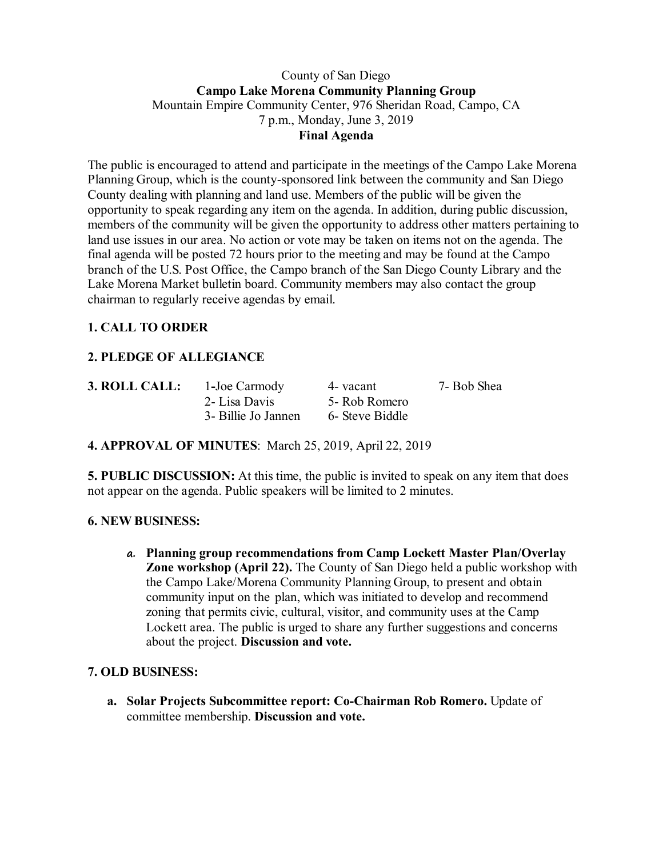#### County of San Diego **Campo Lake Morena Community Planning Group** Mountain Empire Community Center, 976 Sheridan Road, Campo, CA 7 p.m., Monday, June 3, 2019 **Final Agenda**

The public is encouraged to attend and participate in the meetings of the Campo Lake Morena Planning Group, which is the county-sponsored link between the community and San Diego County dealing with planning and land use. Members of the public will be given the opportunity to speak regarding any item on the agenda. In addition, during public discussion, members of the community will be given the opportunity to address other matters pertaining to land use issues in our area. No action or vote may be taken on items not on the agenda. The final agenda will be posted 72 hours prior to the meeting and may be found at the Campo branch of the U.S. Post Office, the Campo branch of the San Diego County Library and the Lake Morena Market bulletin board. Community members may also contact the group chairman to regularly receive agendas by email.

# **1. CALL TO ORDER**

## **2. PLEDGE OF ALLEGIANCE**

| 3. ROLL CALL: | 1-Joe Carmody       | 4- vacant       | 7- Bob Shea |
|---------------|---------------------|-----------------|-------------|
|               | 2- Lisa Davis       | 5- Rob Romero   |             |
|               | 3- Billie Jo Jannen | 6- Steve Biddle |             |

#### **4. APPROVAL OF MINUTES**: March 25, 2019, April 22, 2019

**5. PUBLIC DISCUSSION:** At this time, the public is invited to speak on any item that does not appear on the agenda. Public speakers will be limited to 2 minutes.

#### **6. NEW BUSINESS:**

**a. Planning group recommendations from Camp Lockett Master Plan/Overlay Zone workshop (April 22).** The County of San Diego held a public workshop with the Campo Lake/Morena Community Planning Group, to present and obtain community input on the plan, which was initiated to develop and recommend zoning that permits civic, cultural, visitor, and community uses at the Camp Lockett area. The public is urged to share any further suggestions and concerns about the project. **Discussion and vote.**

#### **7. OLD BUSINESS:**

**a. Solar Projects Subcommittee report: Co-Chairman Rob Romero.** Update of committee membership. **Discussion and vote.**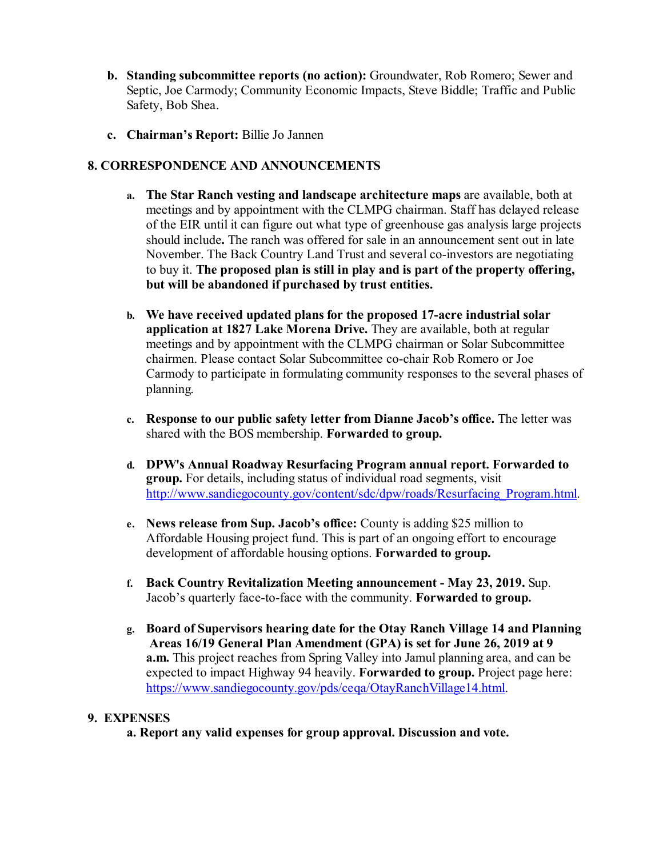- **b. Standing subcommittee reports (no action):** Groundwater, Rob Romero; Sewer and Septic, Joe Carmody; Community Economic Impacts, Steve Biddle; Traffic and Public Safety, Bob Shea.
- **c. Chairman's Report:** Billie Jo Jannen

### **8. CORRESPONDENCE AND ANNOUNCEMENTS**

- **a. The Star Ranch vesting and landscape architecture maps** are available, both at meetings and by appointment with the CLMPG chairman. Staff has delayed release of the EIR until it can figure out what type of greenhouse gas analysis large projects should include**.** The ranch was offered for sale in an announcement sent out in late November. The Back Country Land Trust and several co-investors are negotiating to buy it. **The proposed plan is still in play and is part of the property offering, but will be abandoned if purchased by trust entities.**
- **b. We have received updated plans for the proposed 17-acre industrial solar application at 1827 Lake Morena Drive.** They are available, both at regular meetings and by appointment with the CLMPG chairman or Solar Subcommittee chairmen. Please contact Solar Subcommittee co-chair Rob Romero or Joe Carmody to participate in formulating community responses to the several phases of planning.
- **c. Response to our public safety letter from Dianne Jacob's office.** The letter was shared with the BOS membership. **Forwarded to group.**
- **d. DPW's Annual Roadway Resurfacing Program annual report. Forwarded to group.** For details, including status of individual road segments, visit http://www.sandiegocounty.gov/content/sdc/dpw/roads/Resurfacing\_Program.html.
- **e. News release from Sup. Jacob's office:** County is adding \$25 million to Affordable Housing project fund. This is part of an ongoing effort to encourage development of affordable housing options. **Forwarded to group.**
- **f. Back Country Revitalization Meeting announcement - May 23, 2019.** Sup. Jacob's quarterly face-to-face with the community. **Forwarded to group.**
- **g. Board of Supervisors hearing date for the Otay Ranch Village 14 and Planning Areas 16/19 General Plan Amendment (GPA) is set for June 26, 2019 at 9 a.m.** This project reaches from Spring Valley into Jamul planning area, and can be expected to impact Highway 94 heavily. **Forwarded to group.** Project page here: https://www.sandiegocounty.gov/pds/ceqa/OtayRanchVillage14.html.

#### **9. EXPENSES**

**a. Report any valid expenses for group approval. Discussion and vote.**